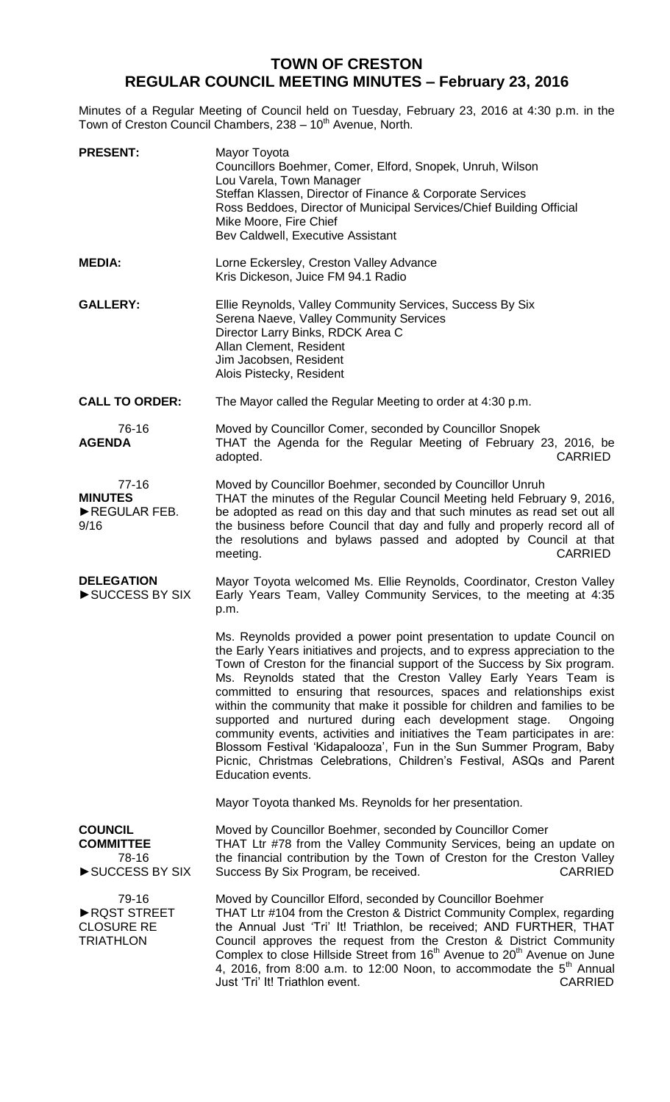## **TOWN OF CRESTON REGULAR COUNCIL MEETING MINUTES – February 23, 2016**

Minutes of a Regular Meeting of Council held on Tuesday, February 23, 2016 at 4:30 p.m. in the Town of Creston Council Chambers, 238 - 10<sup>th</sup> Avenue, North.

| <b>PRESENT:</b>                                               | Mayor Toyota<br>Councillors Boehmer, Comer, Elford, Snopek, Unruh, Wilson<br>Lou Varela, Town Manager<br>Steffan Klassen, Director of Finance & Corporate Services<br>Ross Beddoes, Director of Municipal Services/Chief Building Official<br>Mike Moore, Fire Chief<br>Bev Caldwell, Executive Assistant                                                                                                                                                                                                                                                                                                                                                                                                                                                                        |
|---------------------------------------------------------------|----------------------------------------------------------------------------------------------------------------------------------------------------------------------------------------------------------------------------------------------------------------------------------------------------------------------------------------------------------------------------------------------------------------------------------------------------------------------------------------------------------------------------------------------------------------------------------------------------------------------------------------------------------------------------------------------------------------------------------------------------------------------------------|
| <b>MEDIA:</b>                                                 | Lorne Eckersley, Creston Valley Advance<br>Kris Dickeson, Juice FM 94.1 Radio                                                                                                                                                                                                                                                                                                                                                                                                                                                                                                                                                                                                                                                                                                    |
| <b>GALLERY:</b>                                               | Ellie Reynolds, Valley Community Services, Success By Six<br>Serena Naeve, Valley Community Services<br>Director Larry Binks, RDCK Area C<br>Allan Clement, Resident<br>Jim Jacobsen, Resident<br>Alois Pistecky, Resident                                                                                                                                                                                                                                                                                                                                                                                                                                                                                                                                                       |
| <b>CALL TO ORDER:</b>                                         | The Mayor called the Regular Meeting to order at 4:30 p.m.                                                                                                                                                                                                                                                                                                                                                                                                                                                                                                                                                                                                                                                                                                                       |
| 76-16<br><b>AGENDA</b>                                        | Moved by Councillor Comer, seconded by Councillor Snopek<br>THAT the Agenda for the Regular Meeting of February 23, 2016, be<br><b>CARRIED</b><br>adopted.                                                                                                                                                                                                                                                                                                                                                                                                                                                                                                                                                                                                                       |
| $77-16$<br><b>MINUTES</b><br>REGULAR FEB.<br>9/16             | Moved by Councillor Boehmer, seconded by Councillor Unruh<br>THAT the minutes of the Regular Council Meeting held February 9, 2016,<br>be adopted as read on this day and that such minutes as read set out all<br>the business before Council that day and fully and properly record all of<br>the resolutions and bylaws passed and adopted by Council at that<br><b>CARRIED</b><br>meeting.                                                                                                                                                                                                                                                                                                                                                                                   |
| <b>DELEGATION</b><br>SUCCESS BY SIX                           | Mayor Toyota welcomed Ms. Ellie Reynolds, Coordinator, Creston Valley<br>Early Years Team, Valley Community Services, to the meeting at 4:35<br>p.m.                                                                                                                                                                                                                                                                                                                                                                                                                                                                                                                                                                                                                             |
|                                                               | Ms. Reynolds provided a power point presentation to update Council on<br>the Early Years initiatives and projects, and to express appreciation to the<br>Town of Creston for the financial support of the Success by Six program.<br>Ms. Reynolds stated that the Creston Valley Early Years Team is<br>committed to ensuring that resources, spaces and relationships exist<br>within the community that make it possible for children and families to be<br>supported and nurtured during each development stage.<br>Ongoing<br>community events, activities and initiatives the Team participates in are:<br>Blossom Festival 'Kidapalooza', Fun in the Sun Summer Program, Baby<br>Picnic, Christmas Celebrations, Children's Festival, ASQs and Parent<br>Education events. |
|                                                               | Mayor Toyota thanked Ms. Reynolds for her presentation.                                                                                                                                                                                                                                                                                                                                                                                                                                                                                                                                                                                                                                                                                                                          |
| <b>COUNCIL</b><br><b>COMMITTEE</b><br>78-16<br>SUCCESS BY SIX | Moved by Councillor Boehmer, seconded by Councillor Comer<br>THAT Ltr #78 from the Valley Community Services, being an update on<br>the financial contribution by the Town of Creston for the Creston Valley<br><b>CARRIED</b><br>Success By Six Program, be received.                                                                                                                                                                                                                                                                                                                                                                                                                                                                                                           |
| 79-16<br>RQST STREET<br><b>CLOSURE RE</b><br><b>TRIATHLON</b> | Moved by Councillor Elford, seconded by Councillor Boehmer<br>THAT Ltr #104 from the Creston & District Community Complex, regarding<br>the Annual Just 'Tri' It! Triathlon, be received; AND FURTHER, THAT<br>Council approves the request from the Creston & District Community<br>Complex to close Hillside Street from 16 <sup>th</sup> Avenue to 20 <sup>th</sup> Avenue on June<br>4, 2016, from 8:00 a.m. to 12:00 Noon, to accommodate the $5th$ Annual<br>Just 'Tri' It! Triathlon event.<br><b>CARRIED</b>                                                                                                                                                                                                                                                             |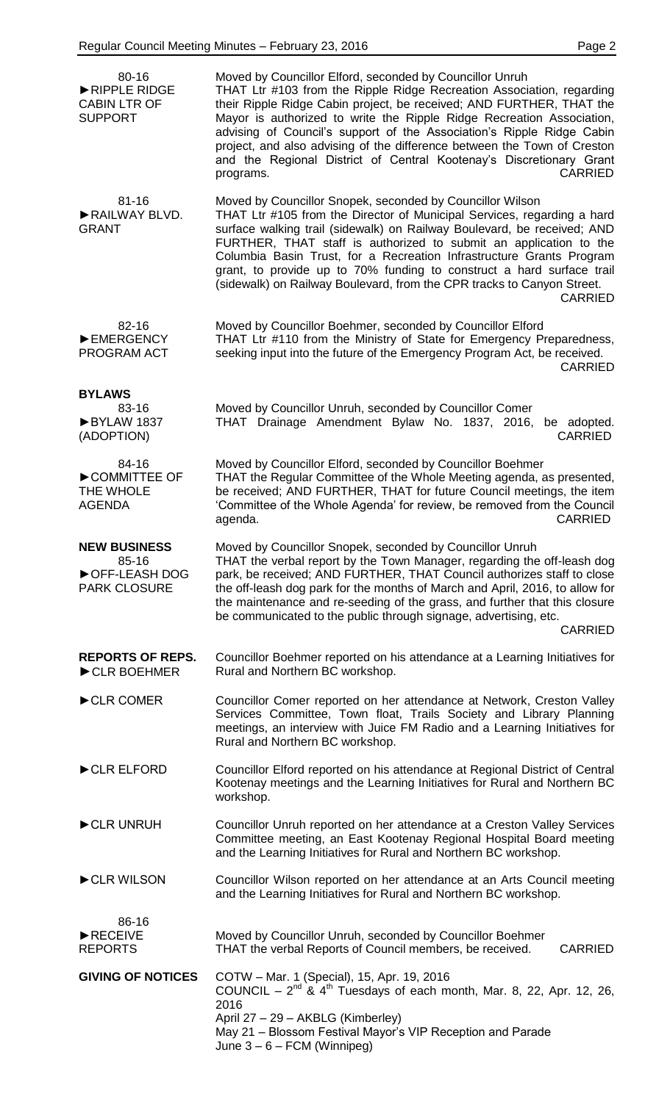| 80-16<br>RIPPLE RIDGE<br><b>CABIN LTR OF</b><br><b>SUPPORT</b>       | Moved by Councillor Elford, seconded by Councillor Unruh<br>THAT Ltr #103 from the Ripple Ridge Recreation Association, regarding<br>their Ripple Ridge Cabin project, be received; AND FURTHER, THAT the<br>Mayor is authorized to write the Ripple Ridge Recreation Association,<br>advising of Council's support of the Association's Ripple Ridge Cabin<br>project, and also advising of the difference between the Town of Creston<br>and the Regional District of Central Kootenay's Discretionary Grant<br><b>CARRIED</b><br>programs. |
|----------------------------------------------------------------------|-----------------------------------------------------------------------------------------------------------------------------------------------------------------------------------------------------------------------------------------------------------------------------------------------------------------------------------------------------------------------------------------------------------------------------------------------------------------------------------------------------------------------------------------------|
| $81 - 16$<br>RAILWAY BLVD.<br><b>GRANT</b>                           | Moved by Councillor Snopek, seconded by Councillor Wilson<br>THAT Ltr #105 from the Director of Municipal Services, regarding a hard<br>surface walking trail (sidewalk) on Railway Boulevard, be received; AND<br>FURTHER, THAT staff is authorized to submit an application to the<br>Columbia Basin Trust, for a Recreation Infrastructure Grants Program<br>grant, to provide up to 70% funding to construct a hard surface trail<br>(sidewalk) on Railway Boulevard, from the CPR tracks to Canyon Street.<br><b>CARRIED</b>             |
| 82-16<br>EMERGENCY<br>PROGRAM ACT                                    | Moved by Councillor Boehmer, seconded by Councillor Elford<br>THAT Ltr #110 from the Ministry of State for Emergency Preparedness,<br>seeking input into the future of the Emergency Program Act, be received.<br><b>CARRIED</b>                                                                                                                                                                                                                                                                                                              |
| <b>BYLAWS</b><br>83-16<br>BYLAW 1837<br>(ADOPTION)                   | Moved by Councillor Unruh, seconded by Councillor Comer<br>THAT Drainage Amendment Bylaw No. 1837, 2016,<br>be adopted.<br><b>CARRIED</b>                                                                                                                                                                                                                                                                                                                                                                                                     |
| 84-16<br>COMMITTEE OF<br>THE WHOLE<br><b>AGENDA</b>                  | Moved by Councillor Elford, seconded by Councillor Boehmer<br>THAT the Regular Committee of the Whole Meeting agenda, as presented,<br>be received; AND FURTHER, THAT for future Council meetings, the item<br>'Committee of the Whole Agenda' for review, be removed from the Council<br><b>CARRIED</b><br>agenda.                                                                                                                                                                                                                           |
| <b>NEW BUSINESS</b><br>85-16<br>OFF-LEASH DOG<br><b>PARK CLOSURE</b> | Moved by Councillor Snopek, seconded by Councillor Unruh<br>THAT the verbal report by the Town Manager, regarding the off-leash dog<br>park, be received; AND FURTHER, THAT Council authorizes staff to close<br>the off-leash dog park for the months of March and April, 2016, to allow for<br>the maintenance and re-seeding of the grass, and further that this closure<br>be communicated to the public through signage, advertising, etc.<br><b>CARRIED</b>                                                                             |
| <b>REPORTS OF REPS.</b><br>CLR BOEHMER                               | Councillor Boehmer reported on his attendance at a Learning Initiatives for<br>Rural and Northern BC workshop.                                                                                                                                                                                                                                                                                                                                                                                                                                |
| CLR COMER                                                            | Councillor Comer reported on her attendance at Network, Creston Valley<br>Services Committee, Town float, Trails Society and Library Planning<br>meetings, an interview with Juice FM Radio and a Learning Initiatives for<br>Rural and Northern BC workshop.                                                                                                                                                                                                                                                                                 |
| CLR ELFORD                                                           | Councillor Elford reported on his attendance at Regional District of Central<br>Kootenay meetings and the Learning Initiatives for Rural and Northern BC<br>workshop.                                                                                                                                                                                                                                                                                                                                                                         |
| CLR UNRUH                                                            | Councillor Unruh reported on her attendance at a Creston Valley Services<br>Committee meeting, an East Kootenay Regional Hospital Board meeting<br>and the Learning Initiatives for Rural and Northern BC workshop.                                                                                                                                                                                                                                                                                                                           |
| CLR WILSON                                                           | Councillor Wilson reported on her attendance at an Arts Council meeting<br>and the Learning Initiatives for Rural and Northern BC workshop.                                                                                                                                                                                                                                                                                                                                                                                                   |
| 86-16<br>$\blacktriangleright$ RECEIVE<br><b>REPORTS</b>             | Moved by Councillor Unruh, seconded by Councillor Boehmer<br>THAT the verbal Reports of Council members, be received.<br><b>CARRIED</b>                                                                                                                                                                                                                                                                                                                                                                                                       |
| <b>GIVING OF NOTICES</b>                                             | COTW - Mar. 1 (Special), 15, Apr. 19, 2016<br>COUNCIL – $2^{nd}$ & 4 <sup>th</sup> Tuesdays of each month, Mar. 8, 22, Apr. 12, 26,<br>2016<br>April 27 - 29 - AKBLG (Kimberley)<br>May 21 - Blossom Festival Mayor's VIP Reception and Parade<br>June $3 - 6 - FCM$ (Winnipeg)                                                                                                                                                                                                                                                               |